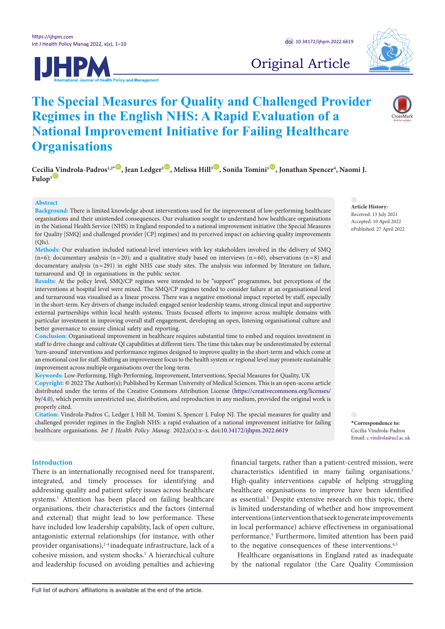



Original Article

# **The Special Measures for Quality and Challenged Provider Regimes in the English NHS: A Rapid Evaluation of a National Improvement Initiative for Failing Healthcare Organisations**

 $C$ ecili[a V](https://orcid.org/0000-0001-5306-6140)indrola-Padros<sup>1,2</sup><sup>[\\*](#page-0-0)</sup> D, Jean Ledger<sup>1 D</sup>, Melissa Hill<sup>3D</sup>, Sonila Tomini<sup>1 D</sup>, Jonathan Spencer<sup>4</sup>, Naomi J. Fulop<sup>1</sup><sup>ID</sup>

#### **Abstract**

**Background:** There is limited knowledge about interventions used for the improvement of low-performing healthcare organisations and their unintended consequences. Our evaluation sought to understand how healthcare organisations in the National Health Service (NHS) in England responded to a national improvement initiative (the Special Measures for Quality [SMQ] and challenged provider [CP] regimes) and its perceived impact on achieving quality improvements  $(OIs)$ .

# **Methods:** Our evaluation included national-level interviews with key stakeholders involved in the delivery of SMQ  $(n=6)$ ; documentary analysis  $(n=20)$ ; and a qualitative study based on interviews  $(n=60)$ , observations  $(n=8)$  and documentary analysis (n=291) in eight NHS case study sites. The analysis was informed by literature on failure, turnaround and QI in organisations in the public sector.

**Results:** At the policy level, SMQ/CP regimes were intended to be "support" programmes, but perceptions of the interventions at hospital level were mixed. The SMQ/CP regimes tended to consider failure at an organisational level and turnaround was visualised as a linear process. There was a negative emotional impact reported by staff, especially in the short-term. Key drivers of change included: engaged senior leadership teams, strong clinical input and supportive external partnerships within local health systems. Trusts focused efforts to improve across multiple domains with particular investment in improving overall staff engagement, developing an open, listening organisational culture and better governance to ensure clinical safety and reporting.

**Conclusion:** Organisational improvement in healthcare requires substantial time to embed and requires investment in staff to drive change and cultivate QI capabilities at different tiers. The time this takes may be underestimated by external 'turn-around' interventions and performance regimes designed to improve quality in the short-term and which come at an emotional cost for staff. Shifting an improvement focus to the health system or regional level may promote sustainable improvement across multiple organisations over the long-term.

**Keywords:** Low-Performing, High-Performing, Improvement, Interventions, Special Measures for Quality, UK **Copyright:** © 2022 The Author(s); Published by Kerman University of Medical Sciences. This is an open-access article distributed under the terms of the Creative Commons Attribution License [\(https://creativecommons.org/licenses/](https://creativecommons.org/licenses/by/4.0/) [by/4.0\)](https://creativecommons.org/licenses/by/4.0/), which permits unrestricted use, distribution, and reproduction in any medium, provided the original work is properly cited.

**Citation:** Vindrola-Padros C, Ledger J, Hill M, Tomini S, Spencer J, Fulop NJ. The special measures for quality and challenged provider regimes in the English NHS: a rapid evaluation of a national improvement initiative for failing healthcare organisations. *Int J Health Policy Manag.* 2022;x(x):x–x. doi:[10.34172/ijhpm.2022.6619](https://doi.org/10.34172/ijhpm.2022.6619)

# **Introduction**

There is an internationally recognised need for transparent, integrated, and timely processes for identifying and addressing quality and patient safety issues across healthcare systems.<sup>1</sup> Attention has been placed on failing healthcare organisations, their characteristics and the factors (internal and external) that might lead to low performance. These have included low leadership capability, lack of open culture, antagonistic external relationships (for instance, with other provider organisations),<sup>2-4</sup> inadequate infrastructure, lack of a cohesive mission, and system shocks.<sup>5</sup> A hierarchical culture and leadership focused on avoiding penalties and achieving financial targets, rather than a patient-centred mission, were characteristics identified in many failing organisations.<sup>1</sup> High-quality interventions capable of helping struggling healthcare organisations to improve have been identified as essential.<sup>5</sup> Despite extensive research on this topic, there is limited understanding of whether and how improvement interventions (intervention that seek to generate improvements in local performance) achieve effectiveness in organisational performance.5 Furthermore, limited attention has been paid to the negative consequences of these interventions.<sup>4,5</sup>

Healthcare organisations in England rated as inadequate by the national regulator (the Care Quality Commission

# **Article History:**

Received: 13 July 2021 Accepted: 10 April 2022 ePublished: 27 April 2022

<span id="page-0-0"></span>**\*Correspondence to:** Cecilia Vindrola-Padros Email: c.vindrola@ucl.ac.uk

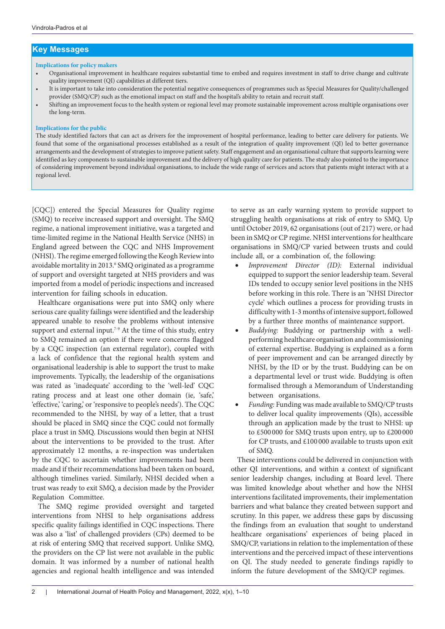# **Key Messages**

#### **Implications for policy makers**

- Organisational improvement in healthcare requires substantial time to embed and requires investment in staff to drive change and cultivate quality improvement (QI) capabilities at different tiers.
- It is important to take into consideration the potential negative consequences of programmes such as Special Measures for Quality/challenged provider (SMQ/CP) such as the emotional impact on staff and the hospital's ability to retain and recruit staff.
- Shifting an improvement focus to the health system or regional level may promote sustainable improvement across multiple organisations over the long-term.

# **Implications for the public**

The study identified factors that can act as drivers for the improvement of hospital performance, leading to better care delivery for patients. We found that some of the organisational processes established as a result of the integration of quality improvement (QI) led to better governance arrangements and the development of strategies to improve patient safety. Staff engagement and an organisational culture that supports learning were identified as key components to sustainable improvement and the delivery of high quality care for patients. The study also pointed to the importance of considering improvement beyond individual organisations, to include the wide range of services and actors that patients might interact with at a regional level.

[CQC]) entered the Special Measures for Quality regime (SMQ) to receive increased support and oversight. The SMQ regime, a national improvement initiative, was a targeted and time-limited regime in the National Health Service (NHS) in England agreed between the CQC and NHS Improvement (NHSI). The regime emerged following the Keogh Review into avoidable mortality in 2013.<sup>6</sup> SMQ originated as a programme of support and oversight targeted at NHS providers and was imported from a model of periodic inspections and increased intervention for failing schools in education.

Healthcare organisations were put into SMQ only where serious care quality failings were identified and the leadership appeared unable to resolve the problems without intensive support and external input.<sup>7-9</sup> At the time of this study, entry to SMQ remained an option if there were concerns flagged by a CQC inspection (an external regulator), coupled with a lack of confidence that the regional health system and organisational leadership is able to support the trust to make improvements. Typically, the leadership of the organisations was rated as 'inadequate' according to the 'well-led' CQC rating process and at least one other domain (ie, 'safe,' 'effective,' 'caring,' or 'responsive to people's needs'). The CQC recommended to the NHSI, by way of a letter, that a trust should be placed in SMQ since the CQC could not formally place a trust in SMQ. Discussions would then begin at NHSI about the interventions to be provided to the trust. After approximately 12 months, a re-inspection was undertaken by the CQC to ascertain whether improvements had been made and if their recommendations had been taken on board, although timelines varied. Similarly, NHSI decided when a trust was ready to exit SMQ, a decision made by the Provider Regulation Committee.

The SMQ regime provided oversight and targeted interventions from NHSI to help organisations address specific quality failings identified in CQC inspections. There was also a 'list' of challenged providers (CPs) deemed to be at risk of entering SMQ that received support. Unlike SMQ, the providers on the CP list were not available in the public domain. It was informed by a number of national health agencies and regional health intelligence and was intended to serve as an early warning system to provide support to struggling health organisations at risk of entry to SMQ. Up until October 2019, 62 organisations (out of 217) were, or had been in SMQ or CP regime. NHSI interventions for healthcare organisations in SMQ/CP varied between trusts and could include all, or a combination of, the following:

- Improvement Director (ID): External individual equipped to support the senior leadership team. Several IDs tended to occupy senior level positions in the NHS before working in this role. There is an 'NHSI Director cycle' which outlines a process for providing trusts in difficulty with 1-3 months of intensive support, followed by a further three months of maintenance support.
- Buddying: Buddying or partnership with a wellperforming healthcare organisation and commissioning of external expertise. Buddying is explained as a form of peer improvement and can be arranged directly by NHSI, by the ID or by the trust. Buddying can be on a departmental level or trust wide. Buddying is often formalised through a Memorandum of Understanding between organisations.
- Funding: Funding was made available to SMQ/CP trusts to deliver local quality improvements (QIs), accessible through an application made by the trust to NHSI: up to £500 000 for SMQ trusts upon entry, up to £200 000 for CP trusts, and £100 000 available to trusts upon exit of SMQ.

These interventions could be delivered in conjunction with other QI interventions, and within a context of significant senior leadership changes, including at Board level. There was limited knowledge about whether and how the NHSI interventions facilitated improvements, their implementation barriers and what balance they created between support and scrutiny. In this paper, we address these gaps by discussing the findings from an evaluation that sought to understand healthcare organisations' experiences of being placed in SMQ/CP, variations in relation to the implementation of these interventions and the perceived impact of these interventions on QI. The study needed to generate findings rapidly to inform the future development of the SMQ/CP regimes.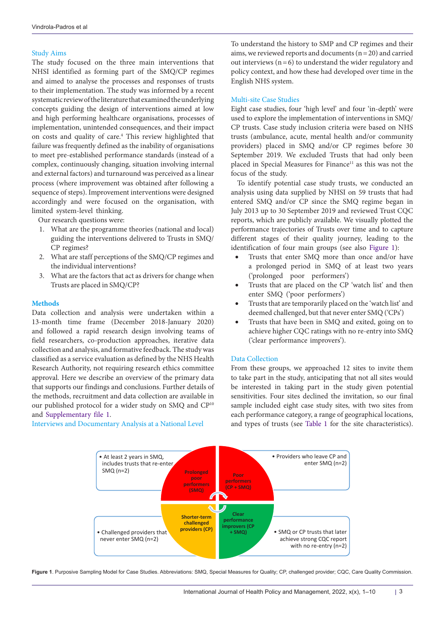# Study Aims

The study focused on the three main interventions that NHSI identified as forming part of the SMQ/CP regimes and aimed to analyse the processes and responses of trusts to their implementation. The study was informed by a recent systematic review of the literature that examined the underlying concepts guiding the design of interventions aimed at low and high performing healthcare organisations, processes of implementation, unintended consequences, and their impact on costs and quality of care.<sup>4</sup> This review highlighted that failure was frequently defined as the inability of organisations to meet pre-established performance standards (instead of a complex, continuously changing, situation involving internal and external factors) and turnaround was perceived as a linear process (where improvement was obtained after following a sequence of steps). Improvement interventions were designed accordingly and were focused on the organisation, with limited system-level thinking.

Our research questions were:

- 1. What are the programme theories (national and local) guiding the interventions delivered to Trusts in SMQ/ CP regimes?
- 2. What are staff perceptions of the SMQ/CP regimes and the individual interventions?
- 3. What are the factors that act as drivers for change when Trusts are placed in SMQ/CP?

#### **Methods**

Data collection and analysis were undertaken within a 13-month time frame (December 2018-January 2020) and followed a rapid research design involving teams of field researchers, co-production approaches, iterative data collection and analysis, and formative feedback. The study was classified as a service evaluation as defined by the NHS Health Research Authority, not requiring research ethics committee approval. Here we describe an overview of the primary data that supports our findings and conclusions. Further details of the methods, recruitment and data collection are available in our published protocol for a wider study on SMQ and CP10 and [Supplementary file 1.](#page-8-0)

Interviews and Documentary Analysis at a National Level

To understand the history to SMP and CP regimes and their aims, we reviewed reports and documents  $(n=20)$  and carried out interviews  $(n=6)$  to understand the wider regulatory and policy context, and how these had developed over time in the English NHS system.

# Multi-site Case Studies

Eight case studies, four 'high level' and four 'in-depth' were used to explore the implementation of interventions in SMQ/ CP trusts. Case study inclusion criteria were based on NHS trusts (ambulance, acute, mental health and/or community providers) placed in SMQ and/or CP regimes before 30 September 2019. We excluded Trusts that had only been placed in Special Measures for Finance<sup>11</sup> as this was not the focus of the study.

To identify potential case study trusts, we conducted an analysis using data supplied by NHSI on 59 trusts that had entered SMQ and/or CP since the SMQ regime began in July 2013 up to 30 September 2019 and reviewed Trust CQC reports, which are publicly available. We visually plotted the performance trajectories of Trusts over time and to capture different stages of their quality journey, leading to the identification of four main groups (see also [Figure 1\)](#page-2-0):

- Trusts that enter SMQ more than once and/or have a prolonged period in SMQ of at least two years ('prolonged poor performers')
- Trusts that are placed on the CP 'watch list' and then enter SMQ ('poor performers')
- Trusts that are temporarily placed on the 'watch list' and deemed challenged, but that never enter SMQ ('CPs')
- Trusts that have been in SMQ and exited, going on to achieve higher CQC ratings with no re-entry into SMQ ('clear performance improvers').

# Data Collection

<span id="page-2-0"></span>From these groups, we approached 12 sites to invite them to take part in the study, anticipating that not all sites would be interested in taking part in the study given potential sensitivities. Four sites declined the invitation, so our final sample included eight case study sites, with two sites from each performance category, a range of geographical locations, and types of trusts (see [Table 1](#page-3-0) for the site characteristics).



**Figure 1**. Purposive Sampling Model for Case Studies. Abbreviations: SMQ, Special Measures for Quality; CP, challenged provider; CQC, Care Quality Commission.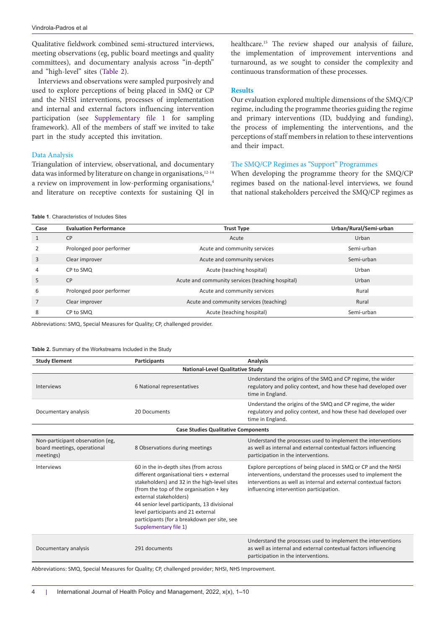Qualitative fieldwork combined semi-structured interviews, meeting observations (eg, public board meetings and quality committees), and documentary analysis across "in-depth" and "high-level" sites ([Table 2\)](#page-3-1).

Interviews and observations were sampled purposively and used to explore perceptions of being placed in SMQ or CP and the NHSI interventions, processes of implementation and internal and external factors influencing intervention participation (see [Supplementary file 1](#page-8-0) for sampling framework). All of the members of staff we invited to take part in the study accepted this invitation.

# Data Analysis

Triangulation of interview, observational, and documentary data was informed by literature on change in organisations, $12-14$ a review on improvement in low-performing organisations,<sup>4</sup> and literature on receptive contexts for sustaining QI in healthcare.15 The review shaped our analysis of failure, the implementation of improvement interventions and turnaround, as we sought to consider the complexity and continuous transformation of these processes.

#### **Results**

Our evaluation explored multiple dimensions of the SMQ/CP regime, including the programme theories guiding the regime and primary interventions (ID, buddying and funding), the process of implementing the interventions, and the perceptions of staff members in relation to these interventions and their impact.

# The SMQ/CP Regimes as "Support" Programmes

When developing the programme theory for the SMQ/CP regimes based on the national-level interviews, we found that national stakeholders perceived the SMQ/CP regimes as

<span id="page-3-0"></span>**Table 1**. Characteristics of Includes Sites

| Case | <b>Evaluation Performance</b> | <b>Trust Type</b>                                | Urban/Rural/Semi-urban |  |
|------|-------------------------------|--------------------------------------------------|------------------------|--|
|      | <b>CP</b>                     | Acute                                            | Urban                  |  |
|      | Prolonged poor performer      | Acute and community services                     | Semi-urban             |  |
| 3    | Clear improver                | Acute and community services                     | Semi-urban             |  |
| 4    | CP to SMQ                     | Acute (teaching hospital)                        | Urban                  |  |
| 5    | <b>CP</b>                     | Acute and community services (teaching hospital) | Urban                  |  |
| 6    | Prolonged poor performer      | Acute and community services                     | Rural                  |  |
|      | Clear improver                | Acute and community services (teaching)          | Rural                  |  |
| 8    | CP to SMQ                     | Acute (teaching hospital)                        | Semi-urban             |  |

Abbreviations: SMQ, Special Measures for Quality; CP, challenged provider.

#### <span id="page-3-1"></span>**Table 2.** Summary of the Workstreams Included in the Study

| <b>Study Element</b>                                                         | <b>Participants</b>                                                                                                                                                                                                                                                                                                                                                  | Analysis                                                                                                                                                                                                                                       |  |  |
|------------------------------------------------------------------------------|----------------------------------------------------------------------------------------------------------------------------------------------------------------------------------------------------------------------------------------------------------------------------------------------------------------------------------------------------------------------|------------------------------------------------------------------------------------------------------------------------------------------------------------------------------------------------------------------------------------------------|--|--|
| <b>National-Level Qualitative Study</b>                                      |                                                                                                                                                                                                                                                                                                                                                                      |                                                                                                                                                                                                                                                |  |  |
| Interviews                                                                   | 6 National representatives                                                                                                                                                                                                                                                                                                                                           | Understand the origins of the SMQ and CP regime, the wider<br>regulatory and policy context, and how these had developed over<br>time in England.                                                                                              |  |  |
| Documentary analysis                                                         | 20 Documents                                                                                                                                                                                                                                                                                                                                                         | Understand the origins of the SMQ and CP regime, the wider<br>regulatory and policy context, and how these had developed over<br>time in England.                                                                                              |  |  |
| <b>Case Studies Qualitative Components</b>                                   |                                                                                                                                                                                                                                                                                                                                                                      |                                                                                                                                                                                                                                                |  |  |
| Non-participant observation (eg,<br>board meetings, operational<br>meetings) | 8 Observations during meetings                                                                                                                                                                                                                                                                                                                                       | Understand the processes used to implement the interventions<br>as well as internal and external contextual factors influencing<br>participation in the interventions.                                                                         |  |  |
| Interviews                                                                   | 60 in the in-depth sites (from across<br>different organisational tiers + external<br>stakeholders) and 32 in the high-level sites<br>(from the top of the organisation + key<br>external stakeholders)<br>44 senior level participants, 13 divisional<br>level participants and 21 external<br>participants (for a breakdown per site, see<br>Supplementary file 1) | Explore perceptions of being placed in SMQ or CP and the NHSI<br>interventions, understand the processes used to implement the<br>interventions as well as internal and external contextual factors<br>influencing intervention participation. |  |  |
| Documentary analysis                                                         | 291 documents                                                                                                                                                                                                                                                                                                                                                        | Understand the processes used to implement the interventions<br>as well as internal and external contextual factors influencing<br>participation in the interventions.                                                                         |  |  |

Abbreviations: SMQ, Special Measures for Quality; CP, challenged provider; NHSI, NHS Improvement.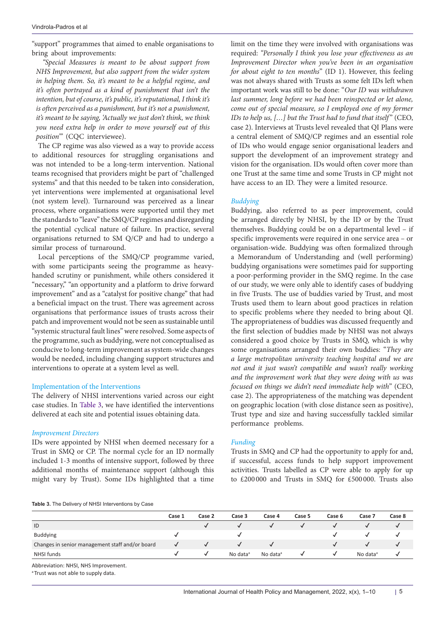"support" programmes that aimed to enable organisations to bring about improvements:

*"Special Measures is meant to be about support from NHS Improvement, but also support from the wider system in helping them. So, it's meant to be a helpful regime, and it's often portrayed as a kind of punishment that isn't the intention, but of course, it's public, it's reputational, I think it's is often perceived as a punishment, but it's not a punishment, it's meant to be saying, 'Actually we just don't think, we think you need extra help in order to move yourself out of this position'"* (CQC interviewee).

The CP regime was also viewed as a way to provide access to additional resources for struggling organisations and was not intended to be a long-term intervention. National teams recognised that providers might be part of "challenged systems" and that this needed to be taken into consideration, yet interventions were implemented at organisational level (not system level). Turnaround was perceived as a linear process, where organisations were supported until they met the standards to "leave" the SMQ/CP regimes and disregarding the potential cyclical nature of failure. In practice, several organisations returned to SM Q/CP and had to undergo a similar process of turnaround.

Local perceptions of the SMQ/CP programme varied, with some participants seeing the programme as heavyhanded scrutiny or punishment, while others considered it "necessary," "an opportunity and a platform to drive forward improvement" and as a "catalyst for positive change" that had a beneficial impact on the trust. There was agreement across organisations that performance issues of trusts across their patch and improvement would not be seen as sustainable until "systemic structural fault lines" were resolved. Some aspects of the programme, such as buddying, were not conceptualised as conducive to long-term improvement as system-wide changes would be needed, including changing support structures and interventions to operate at a system level as well.

# Implementation of the Interventions

The delivery of NHSI interventions varied across our eight case studies. In [Table 3,](#page-4-0) we have identified the interventions delivered at each site and potential issues obtaining data.

#### *Improvement Directors*

IDs were appointed by NHSI when deemed necessary for a Trust in SMQ or CP. The normal cycle for an ID normally included 1-3 months of intensive support, followed by three additional months of maintenance support (although this might vary by Trust). Some IDs highlighted that a time

<span id="page-4-0"></span>**Table 3.** The Delivery of NHSI Interventions by Case

limit on the time they were involved with organisations was required: *"Personally I think you lose your effectiveness as an Improvement Director when you've been in an organisation for about eight to ten months*" (ID 1). However, this feeling was not always shared with Trusts as some felt IDs left when important work was still to be done: "*Our ID was withdrawn last summer, long before we had been reinspected or let alone, come out of special measure, so I employed one of my former IDs to help us, [...] but the Trust had to fund that itself*" (CEO, case 2). Interviews at Trusts level revealed that QI Plans were a central element of SMQ/CP regimes and an essential role of IDs who would engage senior organisational leaders and support the development of an improvement strategy and vision for the organisation. IDs would often cover more than one Trust at the same time and some Trusts in CP might not have access to an ID. They were a limited resource.

# *Buddying*

Buddying, also referred to as peer improvement, could be arranged directly by NHSI, by the ID or by the Trust themselves. Buddying could be on a departmental level – if specific improvements were required in one service area – or organisation-wide. Buddying was often formalized through a Memorandum of Understanding and (well performing) buddying organisations were sometimes paid for supporting a poor-performing provider in the SMQ regime. In the case of our study, we were only able to identify cases of buddying in five Trusts. The use of buddies varied by Trust, and most Trusts used them to learn about good practices in relation to specific problems where they needed to bring about QI. The appropriateness of buddies was discussed frequently and the first selection of buddies made by NHSI was not always considered a good choice by Trusts in SMQ, which is why some organisations arranged their own buddies: "*They are a large metropolitan university teaching hospital and we are not and it just wasn't compatible and wasn't really working and the improvement work that they were doing with us was focused on things we didn't need immediate help with*" (CEO, case 2). The appropriateness of the matching was dependent on geographic location (with close distance seen as positive), Trust type and size and having successfully tackled similar performance problems.

#### *Funding*

Trusts in SMQ and CP had the opportunity to apply for and, if successful, access funds to help support improvement activities. Trusts labelled as CP were able to apply for up to £200 000 and Trusts in SMQ for £500 000. Trusts also

|                                                 | Case 1 | Case 2  | Case 3               | Case 4               | Case 5 | Case 6  | Case 7               | Case 8 |
|-------------------------------------------------|--------|---------|----------------------|----------------------|--------|---------|----------------------|--------|
| ID                                              |        |         |                      |                      |        |         |                      |        |
| <b>Buddying</b>                                 |        |         |                      |                      |        |         |                      |        |
| Changes in senior management staff and/or board |        |         |                      |                      |        |         |                      |        |
| NHSI funds                                      |        | $\cdot$ | No data <sup>a</sup> | No data <sup>a</sup> |        | $\cdot$ | No data <sup>a</sup> |        |

Abbreviation: NHSI, NHS Improvement.

<sup>a</sup> Trust was not able to supply data.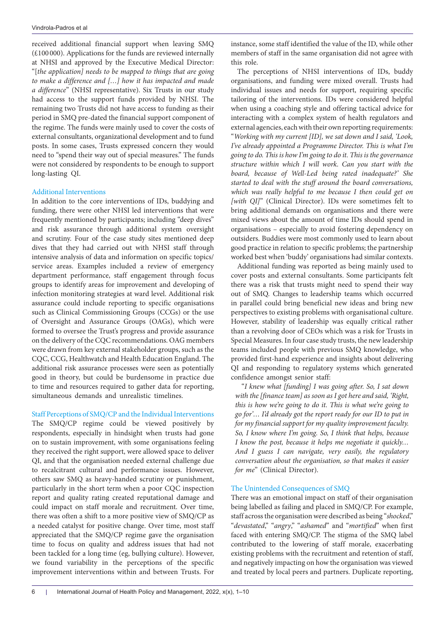received additional financial support when leaving SMQ (£100 000). Applications for the funds are reviewed internally at NHSI and approved by the Executive Medical Director: "[*the application] needs to be mapped to things that are going to make a difference and […] how it has impacted and made a difference*" (NHSI representative). Six Trusts in our study had access to the support funds provided by NHSI. The remaining two Trusts did not have access to funding as their period in SMQ pre-dated the financial support component of the regime. The funds were mainly used to cover the costs of external consultants, organizational development and to fund posts. In some cases, Trusts expressed concern they would need to "spend their way out of special measures." The funds were not considered by respondents to be enough to support long-lasting QI.

# Additional Interventions

In addition to the core interventions of IDs, buddying and funding, there were other NHSI led interventions that were frequently mentioned by participants; including "deep dives" and risk assurance through additional system oversight and scrutiny. Four of the case study sites mentioned deep dives that they had carried out with NHSI staff through intensive analysis of data and information on specific topics/ service areas. Examples included a review of emergency department performance, staff engagement through focus groups to identify areas for improvement and developing of infection monitoring strategies at ward level. Additional risk assurance could include reporting to specific organisations such as Clinical Commissioning Groups (CCGs) or the use of Oversight and Assurance Groups (OAGs), which were formed to oversee the Trust's progress and provide assurance on the delivery of the CQC recommendations. OAG members were drawn from key external stakeholder groups, such as the CQC, CCG, Healthwatch and Health Education England. The additional risk assurance processes were seen as potentially good in theory, but could be burdensome in practice due to time and resources required to gather data for reporting, simultaneous demands and unrealistic timelines.

Staff Perceptions of SMQ/CP and the Individual Interventions

The SMQ/CP regime could be viewed positively by respondents, especially in hindsight when trusts had gone on to sustain improvement, with some organisations feeling they received the right support, were allowed space to deliver QI, and that the organisation needed external challenge due to recalcitrant cultural and performance issues. However, others saw SMQ as heavy-handed scrutiny or punishment, particularly in the short term when a poor CQC inspection report and quality rating created reputational damage and could impact on staff morale and recruitment. Over time, there was often a shift to a more positive view of SMQ/CP as a needed catalyst for positive change. Over time, most staff appreciated that the SMQ/CP regime gave the organisation time to focus on quality and address issues that had not been tackled for a long time (eg, bullying culture). However, we found variability in the perceptions of the specific improvement interventions within and between Trusts. For

instance, some staff identified the value of the ID, while other members of staff in the same organisation did not agree with this role.

The perceptions of NHSI interventions of IDs, buddy organisations, and funding were mixed overall. Trusts had individual issues and needs for support, requiring specific tailoring of the interventions. IDs were considered helpful when using a coaching style and offering tactical advice for interacting with a complex system of health regulators and external agencies, each with their own reporting requirements: "*Working with my current [ID], we sat down and I said, 'Look, I've already appointed a Programme Director. This is what I'm going to do. This is how I'm going to do it. This is the governance structure within which I will work. Can you start with the board, because of Well-Led being rated inadequate?' She started to deal with the stuff around the board conversations,*  which was really helpful to me because I then could get on *[with QI]*" (Clinical Director). IDs were sometimes felt to bring additional demands on organisations and there were mixed views about the amount of time IDs should spend in organisations – especially to avoid fostering dependency on outsiders. Buddies were most commonly used to learn about good practice in relation to specific problems; the partnership worked best when 'buddy' organisations had similar contexts.

Additional funding was reported as being mainly used to cover posts and external consultants. Some participants felt there was a risk that trusts might need to spend their way out of SMQ. Changes to leadership teams which occurred in parallel could bring beneficial new ideas and bring new perspectives to existing problems with organisational culture. However, stability of leadership was equally critical rather than a revolving door of CEOs which was a risk for Trusts in Special Measures. In four case study trusts, the new leadership teams included people with previous SMQ knowledge, who provided first-hand experience and insights about delivering QI and responding to regulatory systems which generated confidence amongst senior staff:

"*I knew what [funding] I was going after. So, I sat down with the [finance team] as soon as I got here and said, 'Right, this is how we're going to do it. This is what we're going to go for'… I'd already got the report ready for our ID to put in for my financial support for my quality improvement faculty. So, I know where I'm going. So, I think that helps, because I know the post, because it helps me negotiate it quickly… And I guess I can navigate, very easily, the regulatory conversation about the organisation, so that makes it easier for me*" (Clinical Director).

# The Unintended Consequences of SMQ

There was an emotional impact on staff of their organisation being labelled as failing and placed in SMQ/CP. For example, staff across the organisation were described as being "*shocked*," "*devastated*," "*angry*," "*ashamed*" and "*mortified*" when first faced with entering SMQ/CP. The stigma of the SMQ label contributed to the lowering of staff morale, exacerbating existing problems with the recruitment and retention of staff, and negatively impacting on how the organisation was viewed and treated by local peers and partners. Duplicate reporting,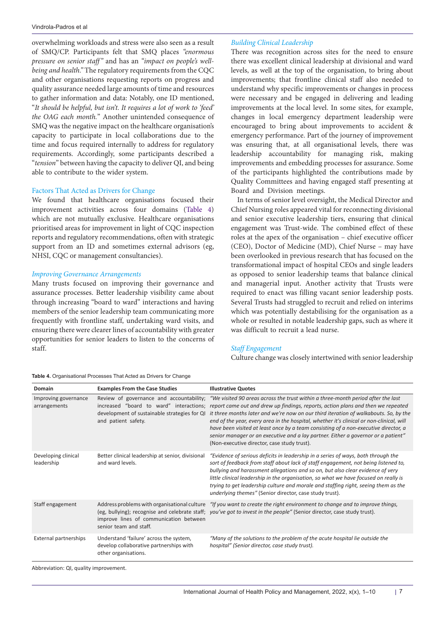overwhelming workloads and stress were also seen as a result of SMQ/CP. Participants felt that SMQ places *"enormous pressure on senior staff"* and has an *"impact on people's wellbeing and health."* The regulatory requirements from the CQC and other organisations requesting reports on progress and quality assurance needed large amounts of time and resources to gather information and data: Notably, one ID mentioned, "*It should be helpful, but isn't. It requires a lot of work to 'feed' the OAG each month.*" Another unintended consequence of SMQ was the negative impact on the healthcare organisation's capacity to participate in local collaborations due to the time and focus required internally to address for regulatory requirements. Accordingly, some participants described a "*tension*" between having the capacity to deliver QI, and being able to contribute to the wider system.

# Factors That Acted as Drivers for Change

We found that healthcare organisations focused their improvement activities across four domains [\(Table 4\)](#page-6-0) which are not mutually exclusive. Healthcare organisations prioritised areas for improvement in light of CQC inspection reports and regulatory recommendations, often with strategic support from an ID and sometimes external advisors (eg, NHSI, CQC or management consultancies).

# *Improving Governance Arrangements*

Many trusts focused on improving their governance and assurance processes. Better leadership visibility came about through increasing "board to ward" interactions and having members of the senior leadership team communicating more frequently with frontline staff, undertaking ward visits, and ensuring there were clearer lines of accountability with greater opportunities for senior leaders to listen to the concerns of staff.

#### <span id="page-6-0"></span>**Table 4.** Organisational Processes That Acted as Drivers for Change

# *Building Clinical Leadership*

There was recognition across sites for the need to ensure there was excellent clinical leadership at divisional and ward levels, as well at the top of the organisation, to bring about improvements; that frontline clinical staff also needed to understand why specific improvements or changes in process were necessary and be engaged in delivering and leading improvements at the local level. In some sites, for example, changes in local emergency department leadership were encouraged to bring about improvements to accident & emergency performance. Part of the journey of improvement was ensuring that, at all organisational levels, there was leadership accountability for managing risk, making improvements and embedding processes for assurance. Some of the participants highlighted the contributions made by Quality Committees and having engaged staff presenting at Board and Division meetings.

In terms of senior level oversight, the Medical Director and Chief Nursing roles appeared vital for reconnecting divisional and senior executive leadership tiers, ensuring that clinical engagement was Trust-wide. The combined effect of these roles at the apex of the organisation – chief executive officer (CEO), Doctor of Medicine (MD), Chief Nurse – may have been overlooked in previous research that has focused on the transformational impact of hospital CEOs and single leaders as opposed to senior leadership teams that balance clinical and managerial input. Another activity that Trusts were required to enact was filling vacant senior leadership posts. Several Trusts had struggled to recruit and relied on interims which was potentially destabilising for the organisation as a whole or resulted in notable leadership gaps, such as where it was difficult to recruit a lead nurse.

# *Staff Engagement*

Culture change was closely intertwined with senior leadership

| Domain                               | <b>Examples From the Case Studies</b>                                                                            | <b>Illustrative Quotes</b>                                                                                                                                                                                                                                                                                                                                                                                                                                                                                                                                                                                                                                                                                        |
|--------------------------------------|------------------------------------------------------------------------------------------------------------------|-------------------------------------------------------------------------------------------------------------------------------------------------------------------------------------------------------------------------------------------------------------------------------------------------------------------------------------------------------------------------------------------------------------------------------------------------------------------------------------------------------------------------------------------------------------------------------------------------------------------------------------------------------------------------------------------------------------------|
| Improving governance<br>arrangements | and patient safety.                                                                                              | Review of governance and accountability; "We visited 90 areas across the trust within a three-month period after the last<br>increased "board to ward" interactions; report came out and drew up findings, reports, action plans and then we repeated<br>development of sustainable strategies for QI it three months later and we're now on our third iteration of walkabouts. So, by the<br>end of the year, every area in the hospital, whether it's clinical or non-clinical, will<br>have been visited at least once by a team consisting of a non-executive director, a<br>senior manager or an executive and a lay partner. Either a governor or a patient"<br>(Non-executive director, case study trust). |
| Developing clinical<br>leadership    | Better clinical leadership at senior, divisional<br>and ward levels.                                             | "Evidence of serious deficits in leadership in a series of ways, both through the<br>sort of feedback from staff about lack of staff engagement, not being listened to,<br>bullying and harassment allegations and so on, but also clear evidence of very<br>little clinical leadership in the organisation, so what we have focused on really is<br>trying to get leadership culture and morale and staffing right, seeing them as the<br>underlying themes" (Senior director, case study trust).                                                                                                                                                                                                                |
| Staff engagement                     | Address problems with organisational culture<br>improve lines of communication between<br>senior team and staff. | "If you want to create the right environment to change and to improve things,<br>(eg, bullying); recognise and celebrate staff; you've got to invest in the people" (Senior director, case study trust).                                                                                                                                                                                                                                                                                                                                                                                                                                                                                                          |
| External partnerships                | Understand 'failure' across the system,<br>develop collaborative partnerships with<br>other organisations.       | "Many of the solutions to the problem of the acute hospital lie outside the<br>hospital" (Senior director, case study trust).                                                                                                                                                                                                                                                                                                                                                                                                                                                                                                                                                                                     |

Abbreviation: QI, quality improvement.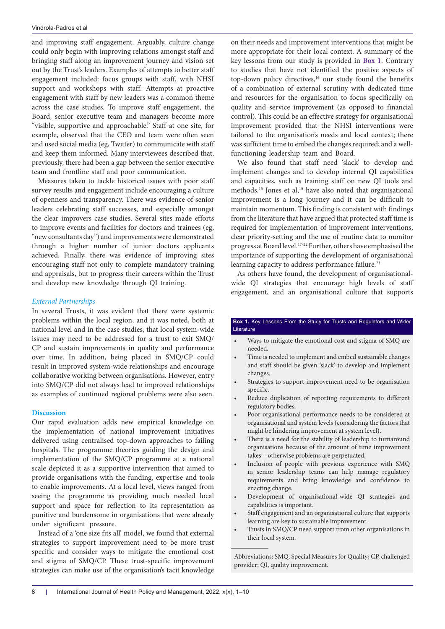and improving staff engagement. Arguably, culture change could only begin with improving relations amongst staff and bringing staff along an improvement journey and vision set out by the Trust's leaders. Examples of attempts to better staff engagement included: focus groups with staff, with NHSI support and workshops with staff. Attempts at proactive engagement with staff by new leaders was a common theme across the case studies. To improve staff engagement, the Board, senior executive team and managers become more "visible, supportive and approachable." Staff at one site, for example, observed that the CEO and team were often seen and used social media (eg, Twitter) to communicate with staff and keep them informed. Many interviewees described that, previously, there had been a gap between the senior executive team and frontline staff and poor communication.

Measures taken to tackle historical issues with poor staff survey results and engagement include encouraging a culture of openness and transparency. There was evidence of senior leaders celebrating staff successes, and especially amongst the clear improvers case studies. Several sites made efforts to improve events and facilities for doctors and trainees (eg, "new consultants day") and improvements were demonstrated through a higher number of junior doctors applicants achieved. Finally, there was evidence of improving sites encouraging staff not only to complete mandatory training and appraisals, but to progress their careers within the Trust and develop new knowledge through QI training.

#### *External Partnerships*

In several Trusts, it was evident that there were systemic problems within the local region, and it was noted, both at national level and in the case studies, that local system-wide issues may need to be addressed for a trust to exit SMQ/ CP and sustain improvements in quality and performance over time. In addition, being placed in SMQ/CP could result in improved system-wide relationships and encourage collaborative working between organisations. However, entry into SMQ/CP did not always lead to improved relationships as examples of continued regional problems were also seen.

# **Discussion**

Our rapid evaluation adds new empirical knowledge on the implementation of national improvement initiatives delivered using centralised top-down approaches to failing hospitals. The programme theories guiding the design and implementation of the SMQ/CP programme at a national scale depicted it as a supportive intervention that aimed to provide organisations with the funding, expertise and tools to enable improvements. At a local level, views ranged from seeing the programme as providing much needed local support and space for reflection to its representation as punitive and burdensome in organisations that were already under significant pressure.

Instead of a 'one size fits all' model, we found that external strategies to support improvement need to be more trust specific and consider ways to mitigate the emotional cost and stigma of SMQ/CP. These trust-specific improvement strategies can make use of the organisation's tacit knowledge on their needs and improvement interventions that might be more appropriate for their local context. A summary of the key lessons from our study is provided in [Box 1](#page-7-0). Contrary to studies that have not identified the positive aspects of top-down policy directives,<sup>16</sup> our study found the benefits of a combination of external scrutiny with dedicated time and resources for the organisation to focus specifically on quality and service improvement (as opposed to financial control). This could be an effective strategy for organisational improvement provided that the NHSI interventions were tailored to the organisation's needs and local context; there was sufficient time to embed the changes required; and a wellfunctioning leadership team and Board.

We also found that staff need 'slack' to develop and implement changes and to develop internal QI capabilities and capacities, such as training staff on new QI tools and methods.<sup>15</sup> Jones et al,<sup>15</sup> have also noted that organisational improvement is a long journey and it can be difficult to maintain momentum. This finding is consistent with findings from the literature that have argued that protected staff time is required for implementation of improvement interventions, clear priority-setting and the use of routine data to monitor progress at Board level.<sup>17-22</sup> Further, others have emphasised the importance of supporting the development of organisational learning capacity to address performance failure.<sup>23</sup>

As others have found, the development of organisationalwide QI strategies that encourage high levels of staff engagement, and an organisational culture that supports

# <span id="page-7-0"></span>**Box 1.** Key Lessons From the Study for Trusts and Regulators and Wider Literature

- Ways to mitigate the emotional cost and stigma of SMQ are needed.
- Time is needed to implement and embed sustainable changes and staff should be given 'slack' to develop and implement changes.
- Strategies to support improvement need to be organisation specific.
- Reduce duplication of reporting requirements to different regulatory bodies.
- Poor organisational performance needs to be considered at organisational and system levels (considering the factors that might be hindering improvement at system level).
- There is a need for the stability of leadership to turnaround organisations because of the amount of time improvement takes – otherwise problems are perpetuated.
- Inclusion of people with previous experience with SMQ in senior leadership teams can help manage regulatory requirements and bring knowledge and confidence to enacting change.
- Development of organisational-wide QI strategies and capabilities is important.
- Staff engagement and an organisational culture that supports learning are key to sustainable improvement.
- Trusts in SMQ/CP need support from other organisations in their local system.

Abbreviations: SMQ, Special Measures for Quality; CP, challenged provider; QI, quality improvement.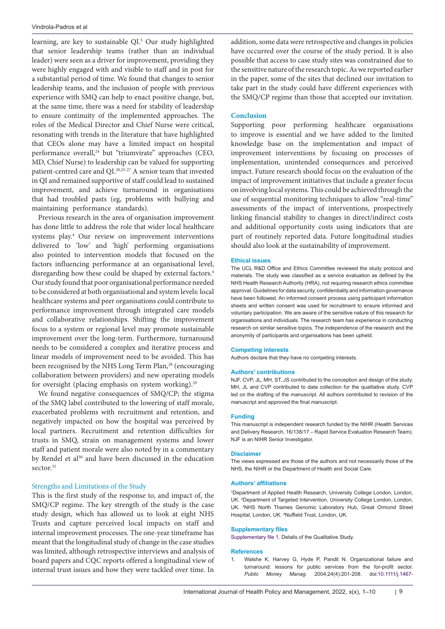learning, are key to sustainable QI.5 Our study highlighted that senior leadership teams (rather than an individual leader) were seen as a driver for improvement, providing they were highly engaged with and visible to staff and in post for a substantial period of time. We found that changes to senior leadership teams, and the inclusion of people with previous experience with SMQ can help to enact positive change, but, at the same time, there was a need for stability of leadership to ensure continuity of the implemented approaches. The roles of the Medical Director and Chief Nurse were critical, resonating with trends in the literature that have highlighted that CEOs alone may have a limited impact on hospital performance overall,24 but "triumvirate" approaches (CEO, MD, Chief Nurse) to leadership can be valued for supporting patient-centred care and QI.20,25-27 A senior team that invested in QI and remained supportive of staff could lead to sustained improvement, and achieve turnaround in organisations that had troubled pasts (eg, problems with bullying and maintaining performance standards).

Previous research in the area of organisation improvement has done little to address the role that wider local healthcare systems play.4 Our review on improvement interventions delivered to 'low' and 'high' performing organisations also pointed to intervention models that focused on the factors influencing performance at an organisational level, disregarding how these could be shaped by external factors.<sup>4</sup> Our study found that poor organisational performance needed to be considered at both organisational and system levels: local healthcare systems and peer organisations could contribute to performance improvement through integrated care models and collaborative relationships. Shifting the improvement focus to a system or regional level may promote sustainable improvement over the long-term. Furthermore, turnaround needs to be considered a complex and iterative process and linear models of improvement need to be avoided. This has been recognised by the NHS Long Term Plan,<sup>28</sup> (encouraging collaboration between providers) and new operating models for oversight (placing emphasis on system working).<sup>29</sup>

We found negative consequences of SMQ/CP; the stigma of the SMQ label contributed to the lowering of staff morale, exacerbated problems with recruitment and retention, and negatively impacted on how the hospital was perceived by local partners. Recruitment and retention difficulties for trusts in SMQ, strain on management systems and lower staff and patient morale were also noted by in a commentary by Rendel et al<sup>30</sup> and have been discussed in the education sector.<sup>31</sup>

# Strengths and Limitations of the Study

This is the first study of the response to, and impact of, the SMQ/CP regime. The key strength of the study is the case study design, which has allowed us to look at eight NHS Trusts and capture perceived local impacts on staff and internal improvement processes. The one-year timeframe has meant that the longitudinal study of change in the case studies was limited, although retrospective interviews and analysis of board papers and CQC reports offered a longitudinal view of internal trust issues and how they were tackled over time. In addition, some data were retrospective and changes in policies have occurred over the course of the study period. It is also possible that access to case study sites was constrained due to the sensitive nature of the research topic. As we reported earlier in the paper, some of the sites that declined our invitation to take part in the study could have different experiences with the SMQ/CP regime than those that accepted our invitation.

# **Conclusion**

Supporting poor performing healthcare organisations to improve is essential and we have added to the limited knowledge base on the implementation and impact of improvement interventions by focusing on processes of implementation, unintended consequences and perceived impact. Future research should focus on the evaluation of the impact of improvement initiatives that include a greater focus on involving local systems. This could be achieved through the use of sequential monitoring techniques to allow "real-time" assessments of the impact of interventions, prospectively linking financial stability to changes in direct/indirect costs and additional opportunity costs using indicators that are part of routinely reported data. Future longitudinal studies should also look at the sustainability of improvement.

#### **Ethical issues**

The UCL R&D Office and Ethics Committee reviewed the study protocol and materials. The study was classified as a service evaluation as defined by the NHS Health Research Authority (HRA), not requiring research ethics committee approval. Guidelines for data security, confidentiality and information governance have been followed. An informed consent process using participant information sheets and written consent was used for recruitment to ensure informed and voluntary participation. We are aware of the sensitive nature of this research for organisations and individuals. The research team has experience in conducting research on similar sensitive topics. The independence of the research and the anonymity of participants and organisations has been upheld.

#### **Competing interests**

Authors declare that they have no competing interests.

#### **Authors' contributions**

NJF, CVP, JL, MH, ST, JS contributed to the conception and design of the study. MH, JL and CVP contributed to data collection for the qualitative study. CVP led on the drafting of the manuscript. All authors contributed to revision of the manuscript and approved the final manuscript.

#### **Funding**

This manuscript is independent research funded by the NIHR (Health Services and Delivery Research, 16/138/17 – Rapid Service Evaluation Research Team). NJF is an NIHR Senior Investigator.

#### **Disclaimer**

The views expressed are those of the authors and not necessarily those of the NHS, the NIHR or the Department of Health and Social Care.

#### **Authors' affiliations**

1 Department of Applied Health Research, University College London, London, UK. 2 Department of Targeted Intervention, University College London, London, UK. <sup>3</sup>NHS North Thames Genomic Laboratory Hub, Great Ormond Street Hospital, London, UK. <sup>4</sup>Nuffield Trust, London, UK.

#### **Supplementary files**

<span id="page-8-0"></span>[Supplementary file 1.](https://www.ijhpm.com/jufile?ar_sfile=59640) Details of the Qualitative Study.

#### **References**

1. Walshe K, Harvey G, Hyde P, Pandit N. Organizational failure and turnaround: lessons for public services from the for-profit sector. *Public Money Manag*. 2004;24(4):201-208. doi:[10.1111/j.1467-](https://doi.org/10.1111/j.1467-9302.2004.00421.x)